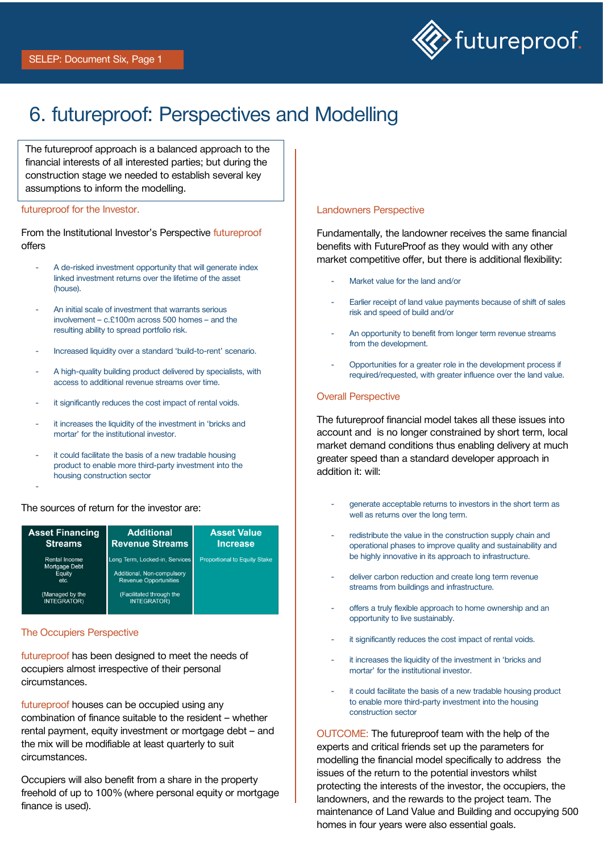

# 6. futureproof: Perspectives and Modelling

The futureproof approach is a balanced approach to the financial interests of all interested parties; but during the construction stage we needed to establish several key assumptions to inform the modelling.

#### futureproof for the Investor.

From the Institutional Investor's Perspective futureproof offers

- A de-risked investment opportunity that will generate index linked investment returns over the lifetime of the asset (house).
- An initial scale of investment that warrants serious involvement – c.£100m across 500 homes – and the resulting ability to spread portfolio risk.
- Increased liquidity over a standard 'build-to-rent' scenario.
- A high-quality building product delivered by specialists, with access to additional revenue streams over time.
- it significantly reduces the cost impact of rental voids.
- it increases the liquidity of the investment in 'bricks and mortar' for the institutional investor.
- it could facilitate the basis of a new tradable housing product to enable more third-party investment into the housing construction sector

### The sources of return for the investor are:

| <b>Asset Financing</b>                                                                    | <b>Additional</b>                                                                                                                              | <b>Asset Value</b>                  |
|-------------------------------------------------------------------------------------------|------------------------------------------------------------------------------------------------------------------------------------------------|-------------------------------------|
| <b>Streams</b>                                                                            | <b>Revenue Streams</b>                                                                                                                         | <b>Increase</b>                     |
| Rental Income<br>Mortgage Debt<br>Equity<br>etc.<br>(Managed by the<br><b>INTEGRATOR)</b> | Long Term, Locked-in, Services<br>Additional, Non-compulsory<br><b>Revenue Opportunities</b><br>(Facilitated through the<br><b>INTEGRATOR)</b> | <b>Proportional to Equity Stake</b> |

#### The Occupiers Perspective

-

futureproof has been designed to meet the needs of occupiers almost irrespective of their personal circumstances.

futureproof houses can be occupied using any combination of finance suitable to the resident – whether rental payment, equity investment or mortgage debt – and the mix will be modifiable at least quarterly to suit circumstances.

Occupiers will also benefit from a share in the property freehold of up to 100% (where personal equity or mortgage finance is used).

#### Landowners Perspective

Fundamentally, the landowner receives the same financial benefits with FutureProof as they would with any other market competitive offer, but there is additional flexibility:

- Market value for the land and/or
- Earlier receipt of land value payments because of shift of sales risk and speed of build and/or
- An opportunity to benefit from longer term revenue streams from the development.
- Opportunities for a greater role in the development process if required/requested, with greater influence over the land value.

#### Overall Perspective

The futureproof financial model takes all these issues into account and is no longer constrained by short term, local market demand conditions thus enabling delivery at much greater speed than a standard developer approach in addition it: will:

- generate acceptable returns to investors in the short term as well as returns over the long term.
- redistribute the value in the construction supply chain and operational phases to improve quality and sustainability and be highly innovative in its approach to infrastructure.
- deliver carbon reduction and create long term revenue streams from buildings and infrastructure.
- offers a truly flexible approach to home ownership and an opportunity to live sustainably.
- it significantly reduces the cost impact of rental voids.
- it increases the liquidity of the investment in 'bricks and mortar' for the institutional investor.
- it could facilitate the basis of a new tradable housing product to enable more third-party investment into the housing construction sector

OUTCOME: The futureproof team with the help of the experts and critical friends set up the parameters for modelling the financial model specifically to address the issues of the return to the potential investors whilst protecting the interests of the investor, the occupiers, the landowners, and the rewards to the project team. The maintenance of Land Value and Building and occupying 500 homes in four years were also essential goals.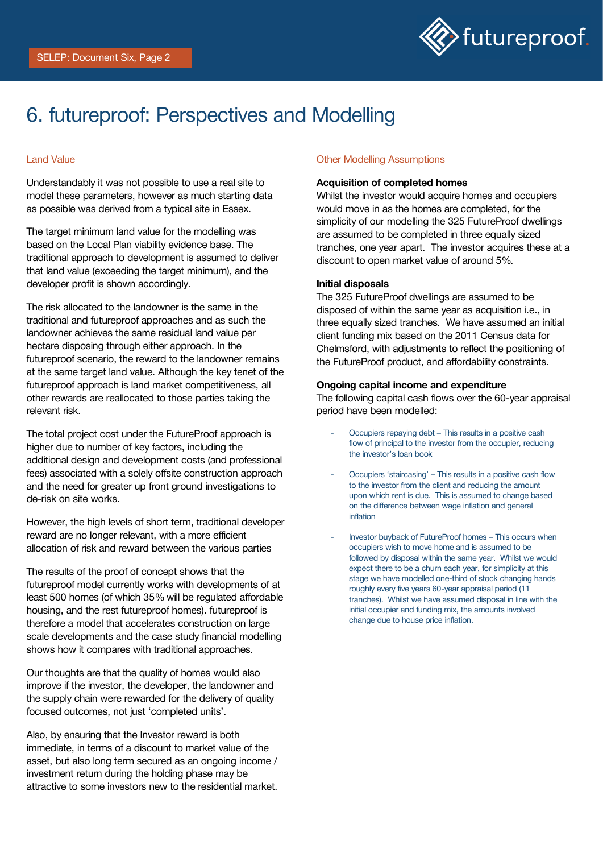

# 6. futureproof: Perspectives and Modelling

### Land Value

Understandably it was not possible to use a real site to model these parameters, however as much starting data as possible was derived from a typical site in Essex.

The target minimum land value for the modelling was based on the Local Plan viability evidence base. The traditional approach to development is assumed to deliver that land value (exceeding the target minimum), and the developer profit is shown accordingly.

The risk allocated to the landowner is the same in the traditional and futureproof approaches and as such the landowner achieves the same residual land value per hectare disposing through either approach. In the futureproof scenario, the reward to the landowner remains at the same target land value. Although the key tenet of the futureproof approach is land market competitiveness, all other rewards are reallocated to those parties taking the relevant risk.

The total project cost under the FutureProof approach is higher due to number of key factors, including the additional design and development costs (and professional fees) associated with a solely offsite construction approach and the need for greater up front ground investigations to de-risk on site works.

However, the high levels of short term, traditional developer reward are no longer relevant, with a more efficient allocation of risk and reward between the various parties

The results of the proof of concept shows that the futureproof model currently works with developments of at least 500 homes (of which 35% will be regulated affordable housing, and the rest futureproof homes). futureproof is therefore a model that accelerates construction on large scale developments and the case study financial modelling shows how it compares with traditional approaches.

Our thoughts are that the quality of homes would also improve if the investor, the developer, the landowner and the supply chain were rewarded for the delivery of quality focused outcomes, not just 'completed units'.

Also, by ensuring that the Investor reward is both immediate, in terms of a discount to market value of the asset, but also long term secured as an ongoing income / investment return during the holding phase may be attractive to some investors new to the residential market.

#### Other Modelling Assumptions

#### Acquisition of completed homes

Whilst the investor would acquire homes and occupiers would move in as the homes are completed, for the simplicity of our modelling the 325 FutureProof dwellings are assumed to be completed in three equally sized tranches, one year apart. The investor acquires these at a discount to open market value of around 5%.

#### Initial disposals

The 325 FutureProof dwellings are assumed to be disposed of within the same year as acquisition i.e., in three equally sized tranches. We have assumed an initial client funding mix based on the 2011 Census data for Chelmsford, with adjustments to reflect the positioning of the FutureProof product, and affordability constraints.

#### Ongoing capital income and expenditure

The following capital cash flows over the 60-year appraisal period have been modelled:

- Occupiers repaying debt This results in a positive cash flow of principal to the investor from the occupier, reducing the investor's loan book
- Occupiers 'staircasing' This results in a positive cash flow to the investor from the client and reducing the amount upon which rent is due. This is assumed to change based on the difference between wage inflation and general inflation
- Investor buyback of FutureProof homes This occurs when occupiers wish to move home and is assumed to be followed by disposal within the same year. Whilst we would expect there to be a churn each year, for simplicity at this stage we have modelled one-third of stock changing hands roughly every five years 60-year appraisal period (11 tranches). Whilst we have assumed disposal in line with the initial occupier and funding mix, the amounts involved change due to house price inflation.